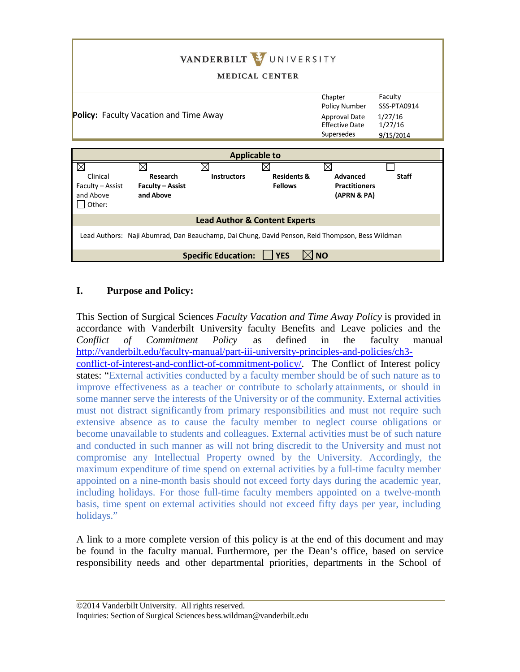

## **I. Purpose and Policy:**

This Section of Surgical Sciences *Faculty Vacation and Time Away Policy* is provided in accordance with Vanderbilt University faculty Benefits and Leave policies and the *Conflict of Commitment Policy* as defined in the faculty manual [http://vanderbilt.edu/faculty-manual/part-iii-university-principles-and-policies/ch3](http://vanderbilt.edu/faculty-manual/part-iii-university-principles-and-policies/ch3-conflict-of-interest-and-conflict-of-commitment-policy/)  [conflict-of-interest-and-conflict-of-commitment-policy/.](http://vanderbilt.edu/faculty-manual/part-iii-university-principles-and-policies/ch3-conflict-of-interest-and-conflict-of-commitment-policy/) The Conflict of Interest policy states: "External activities conducted by a faculty member should be of such nature as to improve effectiveness as a teacher or contribute to scholarly attainments, or should in some manner serve the interests of the University or of the community. External activities must not distract significantly from primary responsibilities and must not require such extensive absence as to cause the faculty member to neglect course obligations or become unavailable to students and colleagues. External activities must be of such nature and conducted in such manner as will not bring discredit to the University and must not compromise any Intellectual Property owned by the University. Accordingly, the maximum expenditure of time spend on external activities by a full-time faculty member appointed on a nine-month basis should not exceed forty days during the academic year, including holidays. For those full-time faculty members appointed on a twelve-month basis, time spent on external activities should not exceed fifty days per year, including holidays."

A link to a more complete version of this policy is at the end of this document and may be found in the faculty manual. Furthermore, per the Dean's office, based on service responsibility needs and other departmental priorities, departments in the School of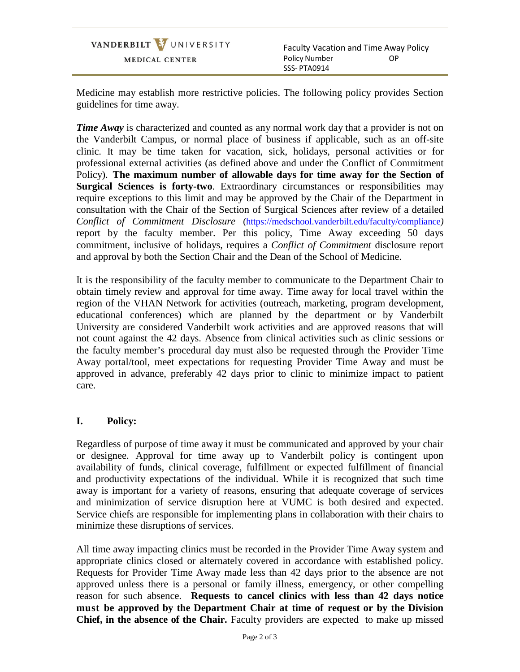VANDERBILT VUNIVERSITY MEDICAL CENTER

Faculty Vacation and Time Away Policy Policy Number SSS- PTA0914 OP

Medicine may establish more restrictive policies. The following policy provides Section guidelines for time away.

*Time* Away is characterized and counted as any normal work day that a provider is not on the Vanderbilt Campus, or normal place of business if applicable, such as an off-site clinic. It may be time taken for vacation, sick, holidays, personal activities or for professional external activities (as defined above and under the Conflict of Commitment Policy). **The maximum number of allowable days for time away for the Section of Surgical Sciences is forty-two**. Extraordinary circumstances or responsibilities may require exceptions to this limit and may be approved by the Chair of the Department in consultation with the Chair of the Section of Surgical Sciences after review of a detailed *Conflict of Commitment Disclosure* [\(https://medschool.vanderbilt.edu/faculty/compliance](https://medschool.vanderbilt.edu/faculty/compliance)*)* report by the faculty member. Per this policy, Time Away exceeding 50 days commitment, inclusive of holidays, requires a *Conflict of Commitment* disclosure report and approval by both the Section Chair and the Dean of the School of Medicine.

It is the responsibility of the faculty member to communicate to the Department Chair to obtain timely review and approval for time away. Time away for local travel within the region of the VHAN Network for activities (outreach, marketing, program development, educational conferences) which are planned by the department or by Vanderbilt University are considered Vanderbilt work activities and are approved reasons that will not count against the 42 days. Absence from clinical activities such as clinic sessions or the faculty member's procedural day must also be requested through the Provider Time Away portal/tool, meet expectations for requesting Provider Time Away and must be approved in advance, preferably 42 days prior to clinic to minimize impact to patient care.

## **I. Policy:**

Regardless of purpose of time away it must be communicated and approved by your chair or designee. Approval for time away up to Vanderbilt policy is contingent upon availability of funds, clinical coverage, fulfillment or expected fulfillment of financial and productivity expectations of the individual. While it is recognized that such time away is important for a variety of reasons, ensuring that adequate coverage of services and minimization of service disruption here at VUMC is both desired and expected. Service chiefs are responsible for implementing plans in collaboration with their chairs to minimize these disruptions of services.

All time away impacting clinics must be recorded in the Provider Time Away system and appropriate clinics closed or alternately covered in accordance with established policy. Requests for Provider Time Away made less than 42 days prior to the absence are not approved unless there is a personal or family illness, emergency, or other compelling reason for such absence. **Requests to cancel clinics with less than 42 days notice must be approved by the Department Chair at time of request or by the Division Chief, in the absence of the Chair.** Faculty providers are expected to make up missed